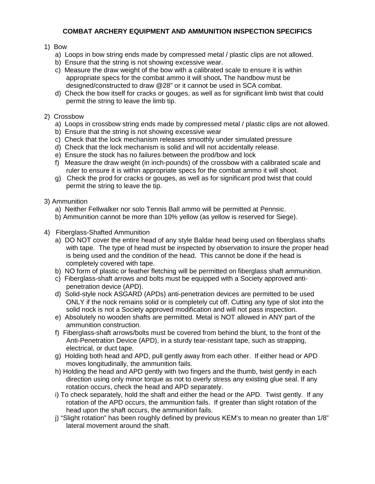## **COMBAT ARCHERY EQUIPMENT AND AMMUNITION INSPECTION SPECIFICS**

# 1) Bow

- a) Loops in bow string ends made by compressed metal / plastic clips are not allowed.
- b) Ensure that the string is not showing excessive wear.
- c) Measure the draw weight of the bow with a calibrated scale to ensure it is within appropriate specs for the combat ammo it will shoot*.* The handbow must be designed/constructed to draw @28" or it cannot be used in SCA combat.
- d) Check the bow itself for cracks or gouges, as well as for significant limb twist that could permit the string to leave the limb tip.

## 2) Crossbow

- a) Loops in crossbow string ends made by compressed metal / plastic clips are not allowed.
- b) Ensure that the string is not showing excessive wear
- c) Check that the lock mechanism releases smoothly under simulated pressure
- d) Check that the lock mechanism is solid and will not accidentally release.
- e) Ensure the stock has no failures between the prod/bow and lock
- f) Measure the draw weight (in inch-pounds) of the crossbow with a calibrated scale and ruler to ensure it is within appropriate specs for the combat ammo it will shoot.
- g) Check the prod for cracks or gouges, as well as for significant prod twist that could permit the string to leave the tip.

## 3) Ammunition

- a) Neither Fellwalker nor solo Tennis Ball ammo will be permitted at Pennsic.
- b) Ammunition cannot be more than 10% yellow (as yellow is reserved for Siege).
- 4) Fiberglass-Shafted Ammunition
	- a) DO NOT cover the entire head of any style Baldar head being used on fiberglass shafts with tape. The type of head must be inspected by observation to insure the proper head is being used and the condition of the head. This cannot be done if the head is completely covered with tape.
	- b) NO form of plastic or feather fletching will be permitted on fiberglass shaft ammunition.
	- c) Fiberglass-shaft arrows and bolts must be equipped with a Society approved antipenetration device (APD).
	- d) Solid-style nock ASGARD (APDs) anti-penetration devices are permitted to be used ONLY if the nock remains solid or is completely cut off. Cutting any type of slot into the solid nock is not a Society approved modification and will not pass inspection.
	- e) Absolutely no wooden shafts are permitted. Metal is NOT allowed in ANY part of the ammunition construction.
	- f) Fiberglass-shaft arrows/bolts must be covered from behind the blunt, to the front of the Anti-Penetration Device (APD), in a sturdy tear-resistant tape, such as strapping, electrical, or duct tape.
	- g) Holding both head and APD, pull gently away from each other. If either head or APD moves longitudinally, the ammunition fails.
	- h) Holding the head and APD gently with two fingers and the thumb, twist gently in each direction using only minor torque as not to overly stress any existing glue seal. If any rotation occurs, check the head and APD separately.
	- i) To check separately, hold the shaft and either the head or the APD. Twist gently. If any rotation of the APD occurs, the ammunition fails. If greater than slight rotation of the head upon the shaft occurs, the ammunition fails.
	- j) "Slight rotation" has been roughly defined by previous KEM's to mean no greater than 1/8" lateral movement around the shaft.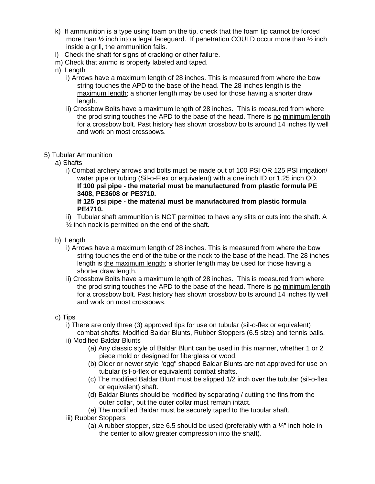- k) If ammunition is a type using foam on the tip, check that the foam tip cannot be forced more than  $\frac{1}{2}$  inch into a legal faceguard. If penetration COULD occur more than  $\frac{1}{2}$  inch inside a grill, the ammunition fails.
- l) Check the shaft for signs of cracking or other failure.
- m) Check that ammo is properly labeled and taped.
- n) Length
	- i) Arrows have a maximum length of 28 inches. This is measured from where the bow string touches the APD to the base of the head. The 28 inches length is the maximum length; a shorter length may be used for those having a shorter draw length.
	- ii) Crossbow Bolts have a maximum length of 28 inches. This is measured from where the prod string touches the APD to the base of the head. There is no minimum length for a crossbow bolt. Past history has shown crossbow bolts around 14 inches fly well and work on most crossbows.

## 5) Tubular Ammunition

- a) Shafts
	- i) Combat archery arrows and bolts must be made out of 100 PSI OR 125 PSI irrigation/ water pipe or tubing (Sil-o-Flex or equivalent) with a one inch ID or 1.25 inch OD. **If 100 psi pipe - the material must be manufactured from plastic formula PE 3408, PE3608 or PE3710.**

#### **If 125 psi pipe - the material must be manufactured from plastic formula PE4710.**

- ii) Tubular shaft ammunition is NOT permitted to have any slits or cuts into the shaft. A  $\frac{1}{2}$  inch nock is permitted on the end of the shaft.
- b) Length
	- i) Arrows have a maximum length of 28 inches. This is measured from where the bow string touches the end of the tube or the nock to the base of the head. The 28 inches length is the maximum length; a shorter length may be used for those having a shorter draw length.
	- ii) Crossbow Bolts have a maximum length of 28 inches. This is measured from where the prod string touches the APD to the base of the head. There is no minimum length for a crossbow bolt. Past history has shown crossbow bolts around 14 inches fly well and work on most crossbows.

## c) Tips

- i) There are only three (3) approved tips for use on tubular (sil-o-flex or equivalent)
- combat shafts: Modified Baldar Blunts, Rubber Stoppers (6.5 size) and tennis balls. ii) Modified Baldar Blunts
	- (a) Any classic style of Baldar Blunt can be used in this manner, whether 1 or 2 piece mold or designed for fiberglass or wood.
	- (b) Older or newer style "egg" shaped Baldar Blunts are not approved for use on tubular (sil-o-flex or equivalent) combat shafts.
	- (c) The modified Baldar Blunt must be slipped 1/2 inch over the tubular (sil-o-flex or equivalent) shaft.
	- (d) Baldar Blunts should be modified by separating / cutting the fins from the outer collar, but the outer collar must remain intact.
	- (e) The modified Baldar must be securely taped to the tubular shaft.
- iii) Rubber Stoppers
	- (a) A rubber stopper, size 6.5 should be used (preferably with a  $\frac{1}{4}$ " inch hole in the center to allow greater compression into the shaft).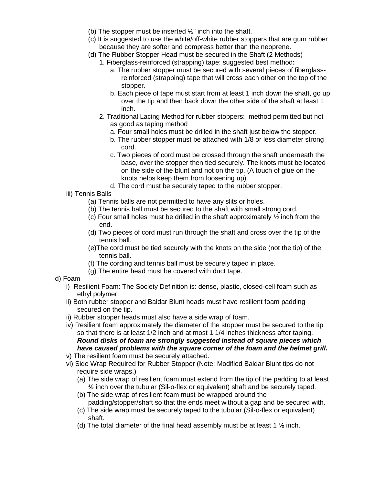- (b) The stopper must be inserted  $\frac{1}{2}$ " inch into the shaft.
- (c) It is suggested to use the white/off-white rubber stoppers that are gum rubber because they are softer and compress better than the neoprene.
- (d) The Rubber Stopper Head must be secured in the Shaft (2 Methods)
	- 1. Fiberglass-reinforced (strapping) tape: suggested best method**:**
		- a. The rubber stopper must be secured with several pieces of fiberglassreinforced (strapping) tape that will cross each other on the top of the stopper.
		- b. Each piece of tape must start from at least 1 inch down the shaft, go up over the tip and then back down the other side of the shaft at least 1 inch.
	- 2. Traditional Lacing Method for rubber stoppers: method permitted but not as good as taping method
		- a. Four small holes must be drilled in the shaft just below the stopper.
		- b. The rubber stopper must be attached with 1/8 or less diameter strong cord.
		- c. Two pieces of cord must be crossed through the shaft underneath the base, over the stopper then tied securely. The knots must be located on the side of the blunt and not on the tip. (A touch of glue on the knots helps keep them from loosening up)
		- d. The cord must be securely taped to the rubber stopper.
- iii) Tennis Balls
	- (a) Tennis balls are not permitted to have any slits or holes.
	- (b) The tennis ball must be secured to the shaft with small strong cord.
	- (c) Four small holes must be drilled in the shaft approximately  $\frac{1}{2}$  inch from the end.
	- (d) Two pieces of cord must run through the shaft and cross over the tip of the tennis ball.
	- (e)The cord must be tied securely with the knots on the side (not the tip) of the tennis ball.
	- (f) The cording and tennis ball must be securely taped in place.
	- (g) The entire head must be covered with duct tape.
- d) Foam
	- i) Resilient Foam: The Society Definition is: dense, plastic, closed-cell foam such as ethyl polymer.
	- ii) Both rubber stopper and Baldar Blunt heads must have resilient foam padding secured on the tip.
	- ii) Rubber stopper heads must also have a side wrap of foam.
	- iv) Resilient foam approximately the diameter of the stopper must be secured to the tip so that there is at least 1/2 inch and at most 1 1/4 inches thickness after taping. *Round disks of foam are strongly suggested instead of square pieces which have caused problems with the square corner of the foam and the helmet grill.*
	- v) The resilient foam must be securely attached.
	- vi) Side Wrap Required for Rubber Stopper (Note: Modified Baldar Blunt tips do not require side wraps.)
		- (a) The side wrap of resilient foam must extend from the tip of the padding to at least **½** inch over the tubular (Sil-o-flex or equivalent) shaft and be securely taped.
		- (b) The side wrap of resilient foam must be wrapped around the padding/stopper/shaft so that the ends meet without a gap and be secured with.
		- (c) The side wrap must be securely taped to the tubular (Sil-o-flex or equivalent) shaft.
		- (d) The total diameter of the final head assembly must be at least 1 **½** inch.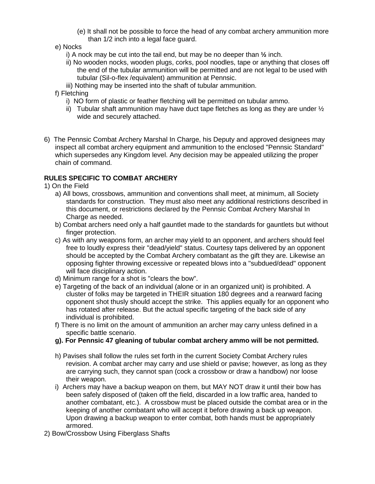- (e) It shall not be possible to force the head of any combat archery ammunition more than 1/2 inch into a legal face guard.
- e) Nocks
	- i) A nock may be cut into the tail end, but may be no deeper than **½** inch.
	- ii) No wooden nocks, wooden plugs, corks, pool noodles, tape or anything that closes off the end of the tubular ammunition will be permitted and are not legal to be used with tubular (Sil-o-flex /equivalent) ammunition at Pennsic.
	- iii) Nothing may be inserted into the shaft of tubular ammunition.

#### f) Fletching

- i) NO form of plastic or feather fletching will be permitted on tubular ammo.
- ii) Tubular shaft ammunition may have duct tape fletches as long as they are under  $\frac{1}{2}$ wide and securely attached.
- 6) The Pennsic Combat Archery Marshal In Charge, his Deputy and approved designees may inspect all combat archery equipment and ammunition to the enclosed "Pennsic Standard" which supersedes any Kingdom level. Any decision may be appealed utilizing the proper chain of command.

# **RULES SPECIFIC TO COMBAT ARCHERY**

1) On the Field

- a) All bows, crossbows, ammunition and conventions shall meet, at minimum, all Society standards for construction. They must also meet any additional restrictions described in this document, or restrictions declared by the Pennsic Combat Archery Marshal In Charge as needed.
- b) Combat archers need only a half gauntlet made to the standards for gauntlets but without finger protection.
- c) As with any weapons form, an archer may yield to an opponent, and archers should feel free to loudly express their "dead/yield" status. Courtesy taps delivered by an opponent should be accepted by the Combat Archery combatant as the gift they are. Likewise an opposing fighter throwing excessive or repeated blows into a "subdued/dead" opponent will face disciplinary action.
- d) Minimum range for a shot is "clears the bow".
- e) Targeting of the back of an individual (alone or in an organized unit) is prohibited. A cluster of folks may be targeted in THEIR situation 180 degrees and a rearward facing opponent shot thusly should accept the strike. This applies equally for an opponent who has rotated after release. But the actual specific targeting of the back side of any individual is prohibited.
- f) There is no limit on the amount of ammunition an archer may carry unless defined in a specific battle scenario.
- **g). For Pennsic 47 gleaning of tubular combat archery ammo will be not permitted.**
- h) Pavises shall follow the rules set forth in the current Society Combat Archery rules revision. A combat archer may carry and use shield or pavise; however, as long as they are carrying such, they cannot span (cock a crossbow or draw a handbow) nor loose their weapon.
- i) Archers may have a backup weapon on them, but MAY NOT draw it until their bow has been safely disposed of (taken off the field, discarded in a low traffic area, handed to another combatant, etc.). A crossbow must be placed outside the combat area or in the keeping of another combatant who will accept it before drawing a back up weapon. Upon drawing a backup weapon to enter combat, both hands must be appropriately armored.
- 2) Bow/Crossbow Using Fiberglass Shafts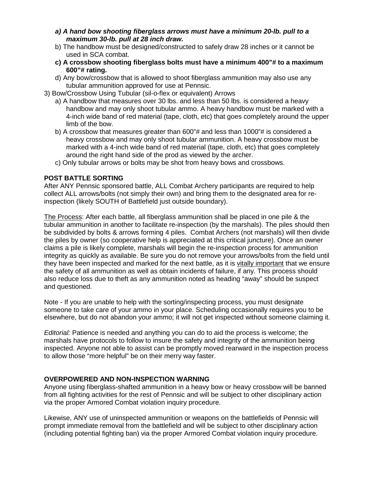- *a) A hand bow shooting fiberglass arrows must have a minimum 20-lb. pull to a maximum 30-lb. pull at 28 inch draw.*
- b) The handbow must be designed/constructed to safely draw 28 inches or it cannot be used in SCA combat.
- **c) A crossbow shooting fiberglass bolts must have a minimum 400"# to a maximum 600"# rating.**
- d) Any bow/crossbow that is allowed to shoot fiberglass ammunition may also use any tubular ammunition approved for use at Pennsic.
- 3) Bow/Crossbow Using Tubular (sil-o-flex or equivalent) Arrows
	- a) A handbow that measures over 30 lbs. and less than 50 lbs. is considered a heavy handbow and may only shoot tubular ammo. A heavy handbow must be marked with a 4-inch wide band of red material (tape, cloth, etc) that goes completely around the upper limb of the bow.
	- b) A crossbow that measures greater than 600"# and less than 1000"# is considered a heavy crossbow and may only shoot tubular ammunition. A heavy crossbow must be marked with a 4-inch wide band of red material (tape, cloth, etc) that goes completely around the right hand side of the prod as viewed by the archer.
	- c) Only tubular arrows or bolts may be shot from heavy bows and crossbows.

## **POST BATTLE SORTING**

After ANY Pennsic sponsored battle, ALL Combat Archery participants are required to help collect ALL arrows/bolts (not simply their own) and bring them to the designated area for reinspection (likely SOUTH of Battlefield just outside boundary).

The Process: After each battle, all fiberglass ammunition shall be placed in one pile & the tubular ammunition in another to facilitate re-inspection (by the marshals). The piles should then be subdivided by bolts & arrows forming 4 piles. Combat Archers (not marshals) will then divide the piles by owner (so cooperative help is appreciated at this critical juncture). Once an owner claims a pile is likely complete, marshals will begin the re-inspection process for ammunition integrity as quickly as available. Be sure you do not remove your arrows/bolts from the field until they have been inspected and marked for the next battle, as it is vitally important that we ensure the safety of all ammunition as well as obtain incidents of failure, if any. This process should also reduce loss due to theft as any ammunition noted as heading "away" should be suspect and questioned.

Note - If you are unable to help with the sorting/inspecting process, you must designate someone to take care of your ammo in your place. Scheduling occasionally requires you to be elsewhere, but do not abandon your ammo; it will not get inspected without someone claiming it.

*Editorial:* Patience is needed and anything you can do to aid the process is welcome; the marshals have protocols to follow to insure the safety and integrity of the ammunition being inspected. Anyone not able to assist can be promptly moved rearward in the inspection process to allow those "more helpful" be on their merry way faster.

## **OVERPOWERED AND NON-INSPECTION WARNING**

Anyone using fiberglass-shafted ammunition in a heavy bow or heavy crossbow will be banned from all fighting activities for the rest of Pennsic and will be subject to other disciplinary action via the proper Armored Combat violation inquiry procedure.

Likewise, ANY use of uninspected ammunition or weapons on the battlefields of Pennsic will prompt immediate removal from the battlefield and will be subject to other disciplinary action (including potential fighting ban) via the proper Armored Combat violation inquiry procedure.